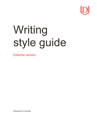

# Writing style guide

Editorial version

Davenport University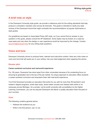# **A brief note on style**

In the Davenport University style guide, we provide a reference point for the writing standards that help produce a consistent, branded voice across all channels. This guide is intended to clarify any style choices of the Davenport brand that might contradict the recommendations of popular dictionaries or style guides.

Our guidelines are based on Associated Press (AP) style, so if you cannot find an answer to your question in this guide, please consult the AP Stylebook. Some styles may be broken on a case-bycase basis and only when the design or user experience would be improved by the change. Contact [ducomm@davenport.edu](mailto:ducomm@davenport.edu) for any writing style questions.

## **Voice and tone**

Davenport University strives to produce fresh, relevant and instructive content. Here are a few notes on voice and tone that will assist you in your writing. Use your best judgement when applying this advice.

#### **Elevator pitch**

#### **Career-centered curriculum and real-world experience**

For 150 years, Davenport has stood apart from other universities because of its unrelenting focus on ensuring its graduates rise to the top of the job market. Its unique approach to education offers students a career-centered curriculum and empowers them with real-world experience.

You'll find Davenport provides an education that works for you with its more than 60 bachelor's and master's degree programs, small class sizes, seven-week courses and classes held online or on campuses across Michigan. As a private, not-for-profit university with accreditation by the Higher Learning Commission, you can be assured Davenport will deliver a quality education that's focused on your success.

#### **Voice**

The following contains general advice.

- Address the audience as *you*
- Write in the first person; use *I* or *we*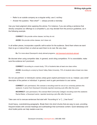- Refer to an outside company as a singular entity; use *it*, not*they*
- Answer the question, "Now what?" always provide a next step

Use your best judgment when applying this advice. For instance, if you are writing a sentence that directly compares our offerings to a competitor's, you may deviate from the pronoun guidelines, as in the following example.

**CORRECT:** We provide online classes, but they do not.

**AVOID:** We provide online classes, but it does not.

In all written pieces, incorporate a specific call-to-action for the audience. Send them where we want them to go or instruct them on what we want them to do next. Be very clear.

**Ex.** For more about Davenport's study abroad programs, visit davenport.edu/study-abroad.

Be discreet when using competitor data. In general, avoid citing competitors. If it is unavoidable, make sure the evidence isn't prominent.

**CORRECT:** According to a recent study, 73% of students take at least one class online.

**AVOID:** According to a study by Grand Valley State University, 73% of students take at least one class online.

Do not use partners' or individual's names unless given explicit permission to do so. Instead, use a brief descriptor of the partner or individual. In general, work to gain permission to use names.

**CORRECT:** (w/o permission): We oversaw a recruiting event for one of our university partners this weekend. A senior from Davenport University reported receiving a job offer after the event.

**INCORRECT:** (w/o permission): We oversaw Mott Community College's recruiting event this weekend. Rachel Baker, a Davenport senior, reported receiving a job offer after the event.

Take care not to overuse sentences that start with "According to" or "[...] has found."

Avoid heavy, overwhelming paragraphs. Break them into short chunks that are easy to scan, providing frequent breaks with concise headings and subheadings that summarize content. Quick takeaways and short bullet points can help readers scan too.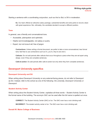Starting a sentence with a coordinating conjunction, such as *And* or *But*, is OK in moderation.

**Ex.** Our team offered an attractive salary package, substantial benefits and extra perks to recruit a dean with great experience. But, ultimately, the candidate decided to accept a different position.

#### **Tone**

In general, use a friendly and conversational tone.

- Accessible, plainspoken and optimistic
- Helpful and knowledgeable, not salesy or pushy
- Expert, but not know-it-all; free of jargon

**Contractions:** Unless writing a formal document, we prefer to take a more conversational, less formal tone; feel free to use contractions such as *it's*, *you're*, *they're* and *she's*.

**Callouts:** Do not add periods after callouts that occur throughout a piece when they are set apart using design, even if they are complete sentences.

**Calls-to-action:** Do add periods after calls-to-action but only when they form complete sentences.

## **Davenport University specifics**

#### **Davenport University and DU**

When writing about Davenport University on any external-facing pieces, do not refer to Davenport as DU. Instead, refer to the school as one of the following: *the university, Davenport University or Davenport.*

#### **Student Activity Center**

When writing about the Student Activity Center, capitalize all three words – Student Activity Center is the formal name of the building. The acronym *SAC* can be used after the full name is spelled out once.

**CORRECT:** The Student Activity Center (SAC) is fun. The SAC even has a rock climbing wall.

**INCORRECT:** The student activity center is fun. The SAC even has a rock climbing wall.

#### **Donald W. Maine College of Business**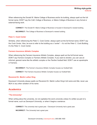When referencing the Donald W. Maine College of Business and/or its building, always spell out the full formal name; DON'T say the *CoB*, *College of Business*, or *Maine College of Business* in any formal or external-facing work.

**CORRECT:** The Donald W. Maine College of Business is housed in Davenport's newest building.

**INCORRECT:** The College of Business is Davenport's newest building.

#### **Peter C. Cook Center**

Similarly, when referencing the Peter C. Cook Center, always spell out the full formal name; DON'T say the *Cook Center*. Also, be sure to refer to the building as a "center" – it's not the *Peter C. Cook Building*, it's the *Peter C. Cook Center*.

#### **Farmers Insurance Athletic Complex**

When referencing the Farmers Insurance Athletic Complex, always spell out the full formal name; DON'T say *Farmers Complex* or *Farmers Athletic Complex*. If you want to shorten, you can use an informal, general name like the *athletic complex* or the *Panther football field*. DON'T use an apostrophe in Farmers.

**INCORRECT:** The Farmer's Insurance Athletic Complex houses our football field.

**CORRECT:** The Farmers Insurance Athletic Complex houses our football field.

#### **Reverend Dr. Martin Luther King**

Davenport University always spells out Reverend Dr. Martin Luther King's full name and title; never use *MLK* or any other variation of his name.

## **Academics**

#### **"The University"**

When writing about the university, do not capitalize the word *university* unless it's written as part of a formal name, such as *Davenport University*, or when it begins a sentence.

**CORRECT:** The university had a great year. / Davenport University had a great year.

**INCORRECT:** The University had a great year.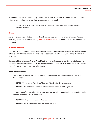**Exception:** Capitalize university only when written in front of the word President and without Davenport in formal communications or policies, when names are not used.

**Ex.** The Officer of Campus Security and the University President will determine campus closures for inclement weather.

#### **Grants**

Any promotional materials that have to do with a grant must include key grant language. You must send all grant-related materials through [ducomm@davenport.edu](mailto:ducomm@davenport.edu) to obtain the required language and approval.

#### **Academic degrees**

In general, if mention of degrees is necessary to establish someone's credentials, the preferred form is to avoid an abbreviation and use instead a phrase such as: *John Jones, who has a doctorate in psychology.*

Use such abbreviations as *B.A.*, *M.A.* and *Ph.D.* only when the need to identify many individuals by degree on first reference would make the preferred form cumbersome. Use these abbreviations only after a full name — never after just a last name.

#### **Associate/associates**

• Use *Associate* when spelling out the full formal degree name; capitalize the degree name but not the specialty.

**CORRECT:** She has an Associate of Business Administration in management.

**INCORRECT:** She has an Associates of Business Administration in Management.

• Use *associates* for informal or abbreviated uses; do not add an apostrophe and do not capitalize unless it is the first word in a sentence.

**CORRECT:** He got an associates in business last year.

**INCORRECT:** He got an associate's in business last year.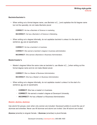#### **Bachelor/bachelor's**

• When writing out a formal degree name, use *Bachelor of […]* and capitalize the full degree name but not the specialty; do not make *Bachelor plural*.

**CORRECT:** He has a Bachelor of Science in marketing.

**INCORRECT:** He has a Bachelor's of Science in Marketing.

• When writing out a degree informally, do not capitalize *bachelor's* unless it is the start of a sentence; do use an apostrophe.

**CORRECT:** He has a bachelor's in business.

**CORRECT:** She earned a bachelor's degree in business administration.

**INCORRECT:** She earned a Bachelors in Business Administration.

#### **Master/master's**

• Master's degrees follow the same rules as bachelor's; use *Master of […]* when writing out the formal degree name and do not make *Master* plural.

**CORRECT:** She is a Master of Business Administration.

**INCORRECT:** She has a Master's in Business Administration.

- When writing out a degree informally, do not capitalize *master's* unless it is the start of a sentence; do use an apostrophe.
	- **CORRECT:** She has a master's in business.
	- **CORRECT:** He earned a master's degree at Davenport University.
	- **INCORRECT:** He has a Master's of Business Administration.

#### **Alumni, alumna, alumnus**

Use *alumni* for groups, even when only women are included. Davenport prefers to avoid the use of *alumnae* and *emeritae*. Never use *All alumnae and alumni are invited*. Use *All alumni are invited*.

**Alumna** (emerita) is singular female. / **Alumnae** (emeritae) is plural female.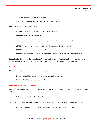#### **Writing style guide Editorial**

**Ex.** Jane is an alumna. / Jane is an emerita.

**Ex.** Jane and Mary are alumnae. / Jane and Mary are emeritae.

**Alumnus** (emeritus) is singular male.

**CORRECT:** He is an alumnus of DU. / John is an emeritus.

**INCORRECT:** He is an alumni of DU.

**Alumni** (emeriti) is plural male AND plural when both men and women are included.

**CORRECT:** John, Jane and Mary are alumni. / John, Jane and Mary are emeriti.

**CORRECT:** All alumni are invited to attend homecoming.

**INCORRECT:** Each alumni is invited to attend homecoming. / All alumni and alumnae are invited.

**Special note:** Do not use the slash form *alumnus/na*. Use *alumni* to refer to all or use *alumnus* and *alumna* (the full words) to refer to each. This style also applies to *emeriti, emerita and emeritus*.

#### **Semesters**

When referring to semesters, do not capitalize the season.

**Ex.** In the fall 2020 semester, more nursing classes will be opening.

**Ex.** The fall 2020 semester starts on Sept. 4.

#### **Academic years, year of graduation**

Use the following formatting for academic years; list the first year completely and abbreviate the second year.

**Ex.** We're going into the 2019-20 academic year.

When listing out someone's graduation date, use an apostrophe followed by the abbreviated date.

**Ex.** Brian Thompson '07 has been working with the Alumni Mentor Network for years.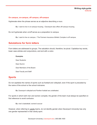#### **On campus, on-campus, off campus, off-campus**

Hyphenate when the phrase serves as an adjective describing a noun.

**Ex.** I want to live in on-campus housing. / Davenport also offers off-campus housing.

Do not hyphenate when *on/off* serves as a preposition to campus.

**Ex.** I want to live on campus. / The Farmers Insurance Athletic Complex is off campus.

### **Salutations for form letters**

Form letters are addressed to groups. The salutation should, therefore, be plural. Capitalize key words, lower case articles and conjunctions, and end with a colon.

#### **Examples**

Dear Students: Dear Alumni: Dear Members of the Board: Dear Faculty and Staff:

## **Sports**

Do not capitalize the names of sports such as football and volleyball, even if the sport is preceded by the name of the school or the school nickname.

**Ex.** Davenport volleyball and Panther football are undefeated.

For sports in which both men and women compete, the gender of the team must always be specified on first reference to avoid confusion.

**Ex.** men's basketball, women's soccer

However, when referring to varsity teams, do not identify gender when Davenport University has only one gender represented in that varsity sport.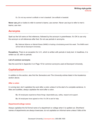Ex. Do not say women's softball or men's baseball. Use softball or baseball.

**Never use** *girls* or *ladies* to refer to women's teams; use *women*. Never use *boys* to refer to men's teams; use *men*.

## **Acronyms**

Spell out the full name on first reference, followed by the acronym in parentheses. It's OK to use only the acronym on all references after that. Do not use periods in acronyms.

**Ex.** National Alliance on Mental Illness (NAMI) is hosting a fundraising event this week. The NAMI event will be held at Davenport University.

**Exceptions:** There is an exception for *U.S.*, which is written with periods in body text. In headlines, it is written as *US*, with no periods.

#### **List of common acronyms**

See the word list in Appendix A on Page 15 for common acronyms used at Davenport University.

# **Capitalization**

In addition to this section, also find the *Semesters* and *The University* entries listed in the Academics section above.

#### **After a colon**

In running text, don't capitalize the word after a colon unless it is the start of a complete sentence. In titles and subtitles, always capitalize the word after a colon.

- **Ex.** All employees experience these things: dependable pay, safety, respect and support.
- **Ex.** All employees have agreed on this: It's OK to ask for help.

#### **Department/college names**

Always capitalize the full formal name of a department or college when it is spelled out. Shorthand names of departments are always lowercase; do not capitalize an informal name unless it falls at the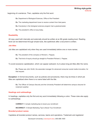#### **Writing style guide Editorial**

beginning of a sentence. Then, capitalize only the first word.

- **Ex.** Department of Biological Sciences, Office of the President
- **Ex.** The marketing department loves to receive content from their peers.
- **Ex.** Everybody in the biological sciences program had a greatsemester.
- **Ex.** The president's office is busy today.

#### **Readability**

All copy used both internally and externally should be written at an 8th grade reading level. Reading level can be determined through simple tools, like spellcheck after a document is written.

#### **Job titles**

Job titles are capitalized only when they are used immediately before one or more names.

**Ex.** The president of the company is Richard J. Pappas.

**Ex.** That kind of inquiry should go straight to President Richard J. Pappas.

To avoid excessive capitalization, which can appear awkward, try to place long job titles after the name.

**Ex.** Please see John Smith, the associate manager for advanced consumer social media innovation, for that request.

**Exception:** In formal documents, such as policies and procedures, there may be times in which job titles are capitalized when there is no name listed with the title.

**Ex.** The Officer of Campus Security and the University President will determine campus closures for inclement weather.

#### **Headings and subheadings**

In headings, capitalize only the first and any word immediately following a colon. These rules also apply to subheadings.

**CORRECT:** 5 simple marketing tips to boost your enrollment

**INCORRECT:** 5 Simple Marketing Tips to Boost Your Enrollment

#### **Branded product names**

Capitalize all branded product names, services, teams and operations. Trademark and registered

Davenport University | davenport.edu | 800.686.1600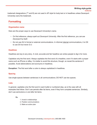#### **Writing style guide Editorial**

trademark designations (™ and ®) are not used in AP style for body text or in headlines unless Davenport University owns the trademark.

# **Formatting**

#### **Organization name**

Here are the proper ways to use Davenport University's name.

- On first reference, always spell out *Davenport University*. After the first reference, you canuse *Davenport* by itself.
- Do not use *DU* in formal or external communications. In informal internal communications, it is OK to use *DU* but never *D.U.*

#### **Headlines**

Headlines are key to any story. A vivid, accurate and fair headline can entice people to dig in for more.

Capitalize only the first word. Always capitalize the first word of a headline, even if it starts with a proper name such as iPhone or eBay. It is better to avoid this structure, though, so recast the sentence if possible. Avoid abbreviations and acronyms in headlines.

**Exception:** The first word after a colon is always capitalized in headlines.

#### **Spacing**

Use single spaces between sentences in all communications; DO NOT use two spaces.

#### **Lists**

In general, capitalize only the first word in each bullet or numbered step, as is the case with all examples that follow. Don't use periods after list items, even if they form complete sentences. Similarly, don't use semicolons or *and* after list items.

#### **Ex.**

- 1. Invest in relationships
- 2. Position communications
- 3. Make an action plan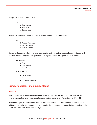Always use circular bullets for lists.

**Ex.**

- Construction
- Hospitality
- General labor

Always use numbers instead of bullets when indicating steps or procedures.

**Ex.**

- 1. Register for classes
- 2. Purchase books
- 3. Study for exams

Use parallel structure in lists whenever possible. When it comes to words or phrases, using parallel structure means using the same grammatical or stylistic pattern throughout the entire series.

#### **PARALLEL:**

- To hire
- To supervise
- To evaluate

#### **NOT PARALLEL:**

- We schedule
- To supervise
- Evaluating personnel

## **Numbers, dates, times, percentages**

#### **Numbers**

Use numerals for 10 and all larger numbers. Write out numbers up to and including nine, except in hard data or when written as a percentage. For more on that topic, review *Percentages* on Page 11.

**Exception:** If you use two or more numerals in a sentence and they would not all be spelled out or written as numerals, use numerals for every number in the sentence as shown in the second example below. This exception differs from AP style.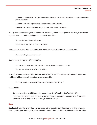**CORRECT:** We received five applications from one website. However, we received 72 applications from the other website.

**CORRECT:** Of the 20 applications, only 3 students were accepted.

**INCORRECT:** Of the 20 applications, only three students were accepted.

In body text, if you must begin a sentence with a number, write it out. In general, however, it is better to rephrase so as to avoid beginning a sentence with a number.

**Ex.** Twenty-two of the experts agreed.

**Ex.** Among all the experts, 22 of them agreed.

Use numerals in headlines; data shows that people are more likely to click on *5* than *Five*.

**Ex.** 5 marketing tips for your career

Use numerals in front of *million* and *billion*.

**Ex.** The U.S. is expected to send almost 2 billion pieces of direct mail in 2019.

**Ex.** Our new athletic field will cost \$1 million.

Use abbreviations such as *1M* for 1 million and *1B* for 1 billion in headlines and subheads. Otherwise, avoid such abbreviations in body text wherever possible.

**Ex.** Read about our success in the article "\$1M athletic field hits big."

#### **Other notes:**

- Do not mix millions and billions in the same figure: *2.6 billion*. Not: *2 billion 600 million*.
- Do not drop the word *million* or *billion* in the first figure of a range: *He is worth from \$2 million to \$4 million*. Not: *\$2 to \$4 million*, unless you really mean \$2.

#### **Dates**

**Spell out all months when they are not used with a specific date**, including when they are used with a specific year. In body text, when a month is used with a specific date, abbreviate the following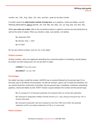months: Jan., Feb., Aug., Sept., Oct., Nov. and Dec.; spell out all other months.

If months need to be **abbreviated outside of body text**, as in graphics, charts and tables, use the following abbreviations without periods: Jan, Feb, Mar, Apr, May, Jun, Jul, Aug, Sep, Oct, Nov, Dec.

When **you write out a date**, refer to the conventions below in regard to comma use and placement as well as the order of values. When you shorten a date, use slashes, not dashes.

**Ex.** September 2020 **Ex.** Monday, Sept. 1, 2020 **Ex.** 9/1/2020

Do not use ordinal numbers, such as *1st*, in any dates.

#### **Ordinal numbers**

Ordinal numbers, which are adjectives describing the numerical position of something, should always be written out when being used. Do not use them in dates.

**CORRECT:** First, third, tenth **INCORRECT:** 1st, 3rd, 10th

#### **Percentages**

No matter how big or small the number, ALWAYS use a numeral followed by the percent sign (%) in the body copy of all official communication. As with all numbers, spell it out if it starts the sentence, but you should avoid this construction if possible. Use the percent sign in headlines, subheads, advertising graphics, charts and tables as well. DON'T include a space between the number and the percent sign.

**Ex.** On average 91% of Davenport graduates are employed within six months after graduation.

**Ex.** Davenport is designated a Military Friendly School by G.I. Jobs, placing it among the top 15% of schools nationwide.

**Ex.** Davenport's graduation rate has increased by more than 158% since 2009, with graduate satisfaction at 94% and student satisfaction at 5.96 on a 7-point scale.

#### **Phone numbers**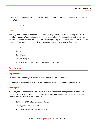Include a period in between all unit blocks of a phone number, not dashes or parentheses. This differs from AP style.

**Ex.** 616.698.7111

#### **Times**

Use the guidelines below to note the time of day. You may also express the time of day prosaically, as in the last example. When in a table, chart or otherwise designed (as opposed to in body copy), you can omit the periods between *am* and *pm*. List time ranges using a hyphen with no space on either side between the two numbers or the word *to* between the times when *a.m.* or *p.m.* falls in-between.

**Ex.** 9 a.m. **Ex.** 5 p.m. **Ex.** 9-10 a.m. **Ex.** 9 a.m. to 5 p.m. **Ex.** From Monday through Friday, I work from 9 a.m. to 5 p.m.

# **Punctuation**

#### **Ampersands**

Avoid using ampersands (&) in headlines and in body text. Use *and* instead.

**Exceptions:** In advertising, charts or tables; where space is tight; or when it's part of a proper noun.

#### **Apostrophes**

In general, use an apostrophe followed by an *s* when you need to form the possessive of the word, not to form a plural. The exception to this is the possessive of *it*, which is *its*. The spelling it's always functions as a contraction of the phrase *it is*.

**Ex.** The new CFO's office had its own entrance.

**Ex.** Jerry put in a hard day's work.

**Ex.** It's true that Davenport supports veterans.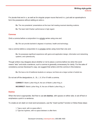For plurals that end in *s*, as well as for singular proper nouns that end in *s*, just add an apostrophe to form the possessive without adding an extra *s*.

**Ex.** The vice presidents' presentations at the town hall meeting received standing ovations.

**Ex.** The team held Charles' performance in high regard.

#### **Commas**

Omit a comma before a conjunction in a simple series using one *and*.

**Ex.** We can provide bachelor's degrees in business, health and technology.

Use a comma before a conjunction in a complex series using more than one *and*.

**Ex.** He possesses significant experience with game and application design, information and networking systems, and cybersecurity.

Though writers may disagree about whether or not to place a comma before *too* when the word means "also" and ends a sentence, such a comma is generally unnecessary for clarity. For the sake of consistency across Davenport's copy, we suggest that writers omit the comma in this instance.

**Ex.** We have a lot of traditional students on campus, but there are a large number of adults too.

Do not set off the designations *Jr., Sr., I, II, III* or *IV* with a comma.

**CORRECT:** Martin Luther King III, the son of Martin Luther King Jr.

**INCORRECT:** Martin Luther King, III, the son of Martin Luther King, Jr.

#### **Dashes**

When the tone is appropriate, feel free to use **em dashes**, with spaces on either side, to set off text or emphasize a point in a sentence.

To create an em dash on most word processors, use the "insert symbol" function or follow these steps:

- 1. Type a word, with no space after it.
- 2. Type two hyphens, with no space between or after them.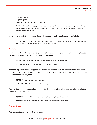3. Type another word.

- 4. Type a space.
- 5. Add spaces on either side of the em dash.

**Ex.** The university's strategic planning process incorporates environmental scanning, goal and target setting, establishing budgets, and developing action plans — all within the scope of the Davenport mission, vision and values.

At the end of a quotation, use an **en dash** with a space on both sides to set off the attribution.

**Ex.** "I am honored to serve as a member of the board for the American Council on Education and the Heart of West Michigan United Way." – Dr. Richard Pappas

#### **Hyphens**

**For numbers:** Use a hyphen with no space on either side of it to represent a numeric range, but use the word *to* when including a numeric range in a sentence.

**Ex.** The goal is to increase full-time students from 51% to 60% by next fall.

**Ex.** Breakfast: 9-10 a.m. / The event runs from 9 to 10 a.m.

**Hyphenating phrases:** Use a hyphen in a compound modifier when the modifier comes *before* the noun it's modifying. This is called a compound adjective. When the modifier comes *after* the noun, you generally don't need a hyphen.

**CORRECT:** Is this a dog-friendly campus?

**ALSO CORRECT:** Is this campus dog friendly?

You also don't need a hyphen when your modifier is made up of an adverb and an adjective, whether it's before or after the noun.

**CORRECT:** Do you think anyone will believe this clearly impossible story?

**INCORRECT:** Do you think anyone will believe this clearly-impossible story?

# **Quotations**

Write *said*, not *says*, when quoting someone.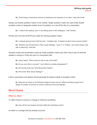**Ex.** "Emily brings a tremendous amount of experience and expertise to our team," said John Smith.

Always use double quotation marks on the outside. Single quotation marks are used inside double quotation marks to designate another level of quotation or to set off the title of a composition.

**Ex.** "I really loved reading 'Lean In' and talking about it with colleagues," said Caroline.

Periods and commas ALWAYS go inside the closing quotation marks.

**Ex.** "I enjoyed going to lunch with the team," Jonathan said. "It helped me get to know everyone better."

**Ex.** "Whether your favorite book is 'Blue Ocean Strategy,' 'Lean In' or 'Outliers,' you should always read with a critical eye," said Deb.

Question marks and exclamation points go inside quotation marks only when they're part of what the speaker is saying or if they are part of a composition title.

**Ex.** Janice asked, "When would you like to see a first draft?"

**Ex.** Do you ever think to yourself, "I can't afford an outside photographer"?

**Ex.** Her favorite book was "Who Moved My Cheese?"

**Ex.** Who wrote "Blue Ocean Strategy"?

Colons, semicolons and dashes should generally be placed outside of quotation marks.

**Ex.** Requests for entries in the following category should use the "official marketing request form": design for posters, brochures for various audiences and event signage.

# **Word Choice**

#### **Effect vs. affect**

To *affect* means to produce a change or influence something.

**Ex.** How will the new program structure affect the marketing course?

An *effect* is a change that has already occurred.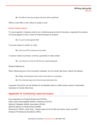#### **Writing style guide Editorial**

**Ex.** The effect of the new program structure will be significant.

*Affect* is most often a verb; *effect* is usually a noun.

#### **Insure, ensure, assure**

To *insure* applies in instances where one is referencing some kind of insurance, especially the practice of insuring against a loss in value for financial assets or property.

**Ex.** You are insured against theft.

To *ensure* means to confirm or verify.

**Ex.** Track your ROI to ensure your success.

To assure means to promise, convince, guarantee or make certain.

**Ex.** I can assure you that we will find you a good-paying job.

Website References

When referencing any of the university's websites, do not include *[http://www.](http://www/)* before the address.

**Ex.** Please visit davenport.edu to learn more about our campuses.

**Ex.** The university blog can be found at post.davenport.edu.

In general, this advice can be followed for all websites listed in written pieces unless it's absolutely necessary to include *[http://www.](http://www/)*

# **Appendix A: Commonly used acronyms**

Free Application for Federal Student Aid (FAFSA) Great Lakes Intercollegiate Athletic Conference (GLIAC) National Collegiate Athletic Association (NCAA) National Alliance on Mental Illness (NAMI) Reverend Dr. Martin Luther King – Always spell out his full title and name; never use"MLK" Institute of Professional Excellence (IPEx)